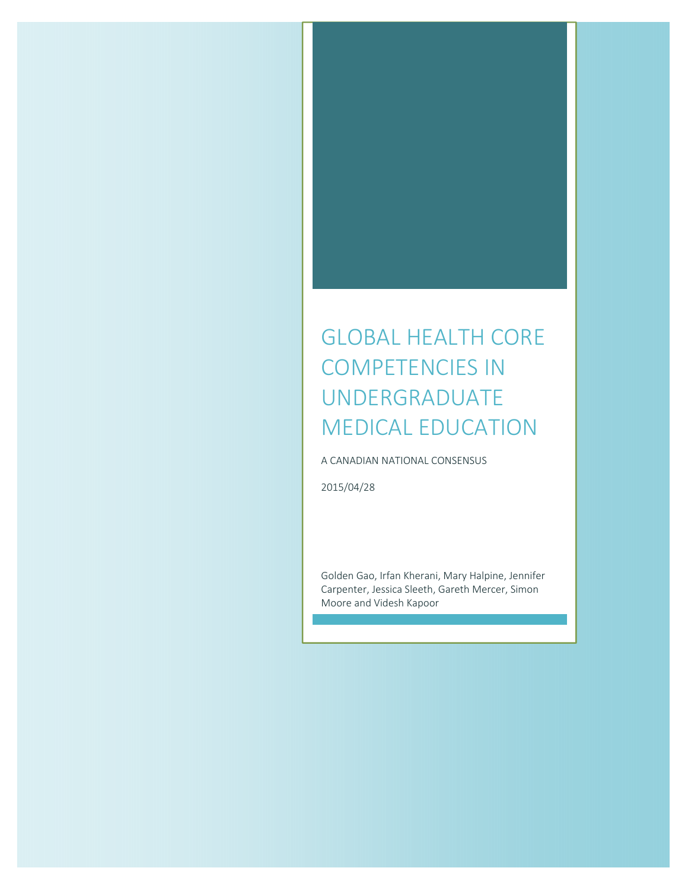# GLOBAL HEALTH CORE COMPETENCIES IN UNDERGRADUATE MEDICAL EDUCATION

A CANADIAN NATIONAL CONSENSUS

2015/04/28

Golden Gao, Irfan Kherani, Mary Halpine, Jennifer Carpenter, Jessica Sleeth, Gareth Mercer, Simon Moore and Videsh Kapoor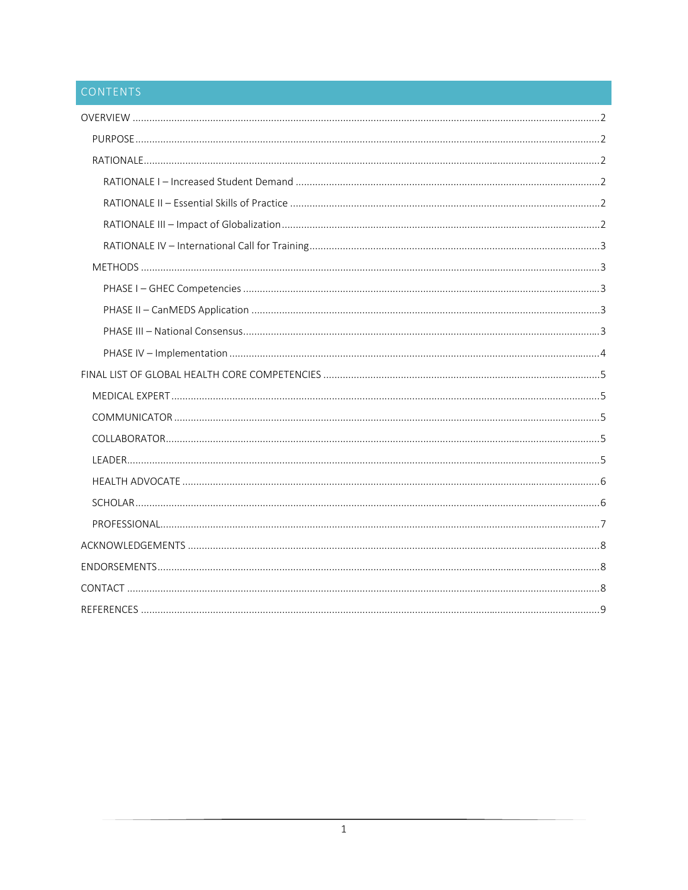# CONTENTS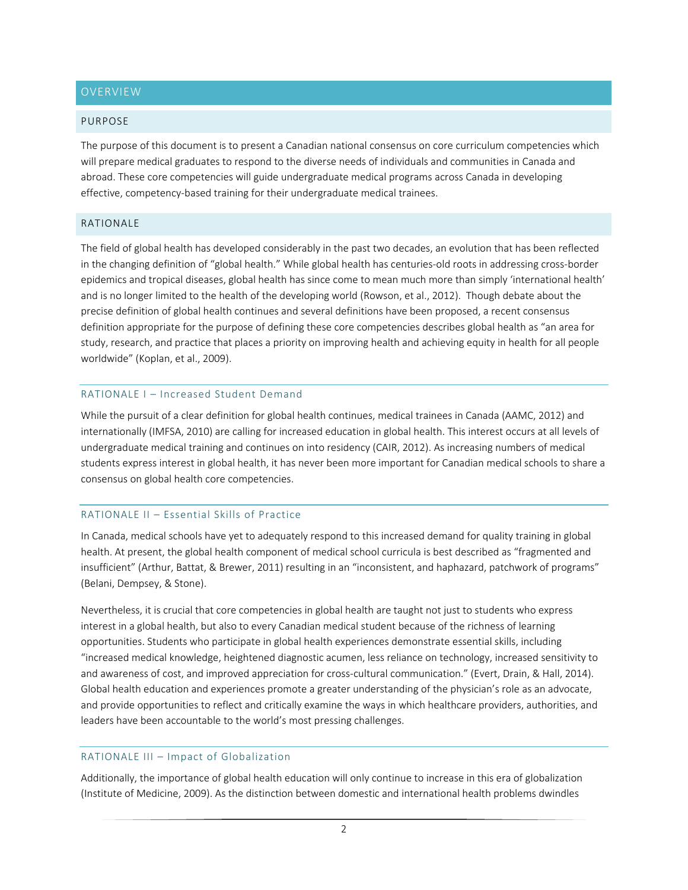#### PURPOSE

The purpose of this document is to present a Canadian national consensus on core curriculum competencies which will prepare medical graduates to respond to the diverse needs of individuals and communities in Canada and abroad. These core competencies will guide undergraduate medical programs across Canada in developing effective, competency-based training for their undergraduate medical trainees.

## RATIONALE

The field of global health has developed considerably in the past two decades, an evolution that has been reflected in the changing definition of "global health." While global health has centuries-old roots in addressing cross-border epidemics and tropical diseases, global health has since come to mean much more than simply 'international health' and is no longer limited to the health of the developing world (Rowson, et al., 2012). Though debate about the precise definition of global health continues and several definitions have been proposed, a recent consensus definition appropriate for the purpose of defining these core competencies describes global health as "an area for study, research, and practice that places a priority on improving health and achieving equity in health for all people worldwide" (Koplan, et al., 2009).

## RATIONALE I – Increased Student Demand

While the pursuit of a clear definition for global health continues, medical trainees in Canada (AAMC, 2012) and internationally (IMFSA, 2010) are calling for increased education in global health. This interest occurs at all levels of undergraduate medical training and continues on into residency (CAIR, 2012). As increasing numbers of medical students express interest in global health, it has never been more important for Canadian medical schools to share a consensus on global health core competencies.

# RATIONALE II – Essential Skills of Practice

In Canada, medical schools have yet to adequately respond to this increased demand for quality training in global health. At present, the global health component of medical school curricula is best described as "fragmented and insufficient" (Arthur, Battat, & Brewer, 2011) resulting in an "inconsistent, and haphazard, patchwork of programs" (Belani, Dempsey, & Stone).

Nevertheless, it is crucial that core competencies in global health are taught not just to students who express interest in a global health, but also to every Canadian medical student because of the richness of learning opportunities. Students who participate in global health experiences demonstrate essential skills, including "increased medical knowledge, heightened diagnostic acumen, less reliance on technology, increased sensitivity to and awareness of cost, and improved appreciation for cross-cultural communication." (Evert, Drain, & Hall, 2014). Global health education and experiences promote a greater understanding of the physician's role as an advocate, and provide opportunities to reflect and critically examine the ways in which healthcare providers, authorities, and leaders have been accountable to the world's most pressing challenges.

# RATIONALE III – Impact of Globalization

Additionally, the importance of global health education will only continue to increase in this era of globalization (Institute of Medicine, 2009). As the distinction between domestic and international health problems dwindles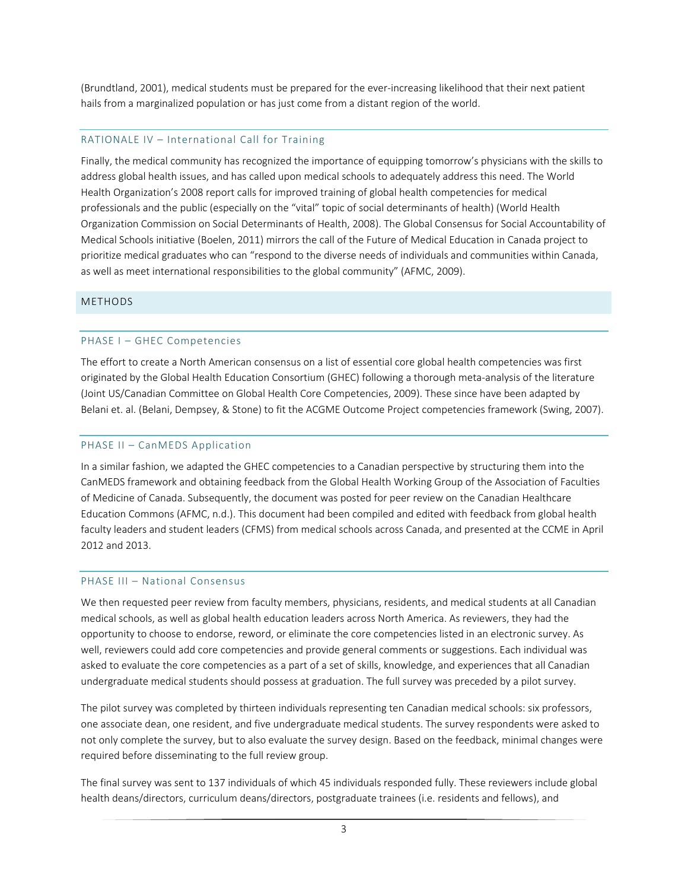(Brundtland, 2001), medical students must be prepared for the ever‐increasing likelihood that their next patient hails from a marginalized population or has just come from a distant region of the world.

# RATIONALE IV – International Call for Training

Finally, the medical community has recognized the importance of equipping tomorrow's physicians with the skills to address global health issues, and has called upon medical schools to adequately address this need. The World Health Organization's 2008 report calls for improved training of global health competencies for medical professionals and the public (especially on the "vital" topic of social determinants of health) (World Health Organization Commission on Social Determinants of Health, 2008). The Global Consensus for Social Accountability of Medical Schools initiative (Boelen, 2011) mirrors the call of the Future of Medical Education in Canada project to prioritize medical graduates who can "respond to the diverse needs of individuals and communities within Canada, as well as meet international responsibilities to the global community" (AFMC, 2009).

# METHODS

# PHASE I – GHEC Competencies

The effort to create a North American consensus on a list of essential core global health competencies was first originated by the Global Health Education Consortium (GHEC) following a thorough meta‐analysis of the literature (Joint US/Canadian Committee on Global Health Core Competencies, 2009). These since have been adapted by Belani et. al. (Belani, Dempsey, & Stone) to fit the ACGME Outcome Project competencies framework (Swing, 2007).

# PHASE II – CanMEDS Application

In a similar fashion, we adapted the GHEC competencies to a Canadian perspective by structuring them into the CanMEDS framework and obtaining feedback from the Global Health Working Group of the Association of Faculties of Medicine of Canada. Subsequently, the document was posted for peer review on the Canadian Healthcare Education Commons (AFMC, n.d.). This document had been compiled and edited with feedback from global health faculty leaders and student leaders (CFMS) from medical schools across Canada, and presented at the CCME in April 2012 and 2013.

#### PHASE III – National Consensus

We then requested peer review from faculty members, physicians, residents, and medical students at all Canadian medical schools, as well as global health education leaders across North America. As reviewers, they had the opportunity to choose to endorse, reword, or eliminate the core competencies listed in an electronic survey. As well, reviewers could add core competencies and provide general comments or suggestions. Each individual was asked to evaluate the core competencies as a part of a set of skills, knowledge, and experiences that all Canadian undergraduate medical students should possess at graduation. The full survey was preceded by a pilot survey.

The pilot survey was completed by thirteen individuals representing ten Canadian medical schools: six professors, one associate dean, one resident, and five undergraduate medical students. The survey respondents were asked to not only complete the survey, but to also evaluate the survey design. Based on the feedback, minimal changes were required before disseminating to the full review group.

The final survey was sent to 137 individuals of which 45 individuals responded fully. These reviewers include global health deans/directors, curriculum deans/directors, postgraduate trainees (i.e. residents and fellows), and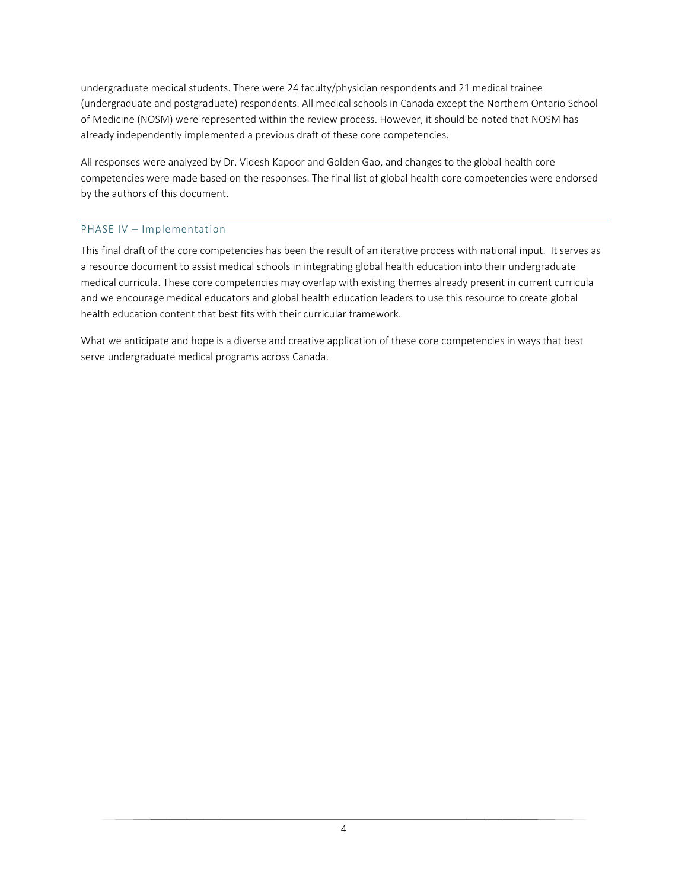undergraduate medical students. There were 24 faculty/physician respondents and 21 medical trainee (undergraduate and postgraduate) respondents. All medical schools in Canada except the Northern Ontario School of Medicine (NOSM) were represented within the review process. However, it should be noted that NOSM has already independently implemented a previous draft of these core competencies.

All responses were analyzed by Dr. Videsh Kapoor and Golden Gao, and changes to the global health core competencies were made based on the responses. The final list of global health core competencies were endorsed by the authors of this document.

# PHASE IV – Implementation

This final draft of the core competencies has been the result of an iterative process with national input. It serves as a resource document to assist medical schools in integrating global health education into their undergraduate medical curricula. These core competencies may overlap with existing themes already present in current curricula and we encourage medical educators and global health education leaders to use this resource to create global health education content that best fits with their curricular framework.

What we anticipate and hope is a diverse and creative application of these core competencies in ways that best serve undergraduate medical programs across Canada.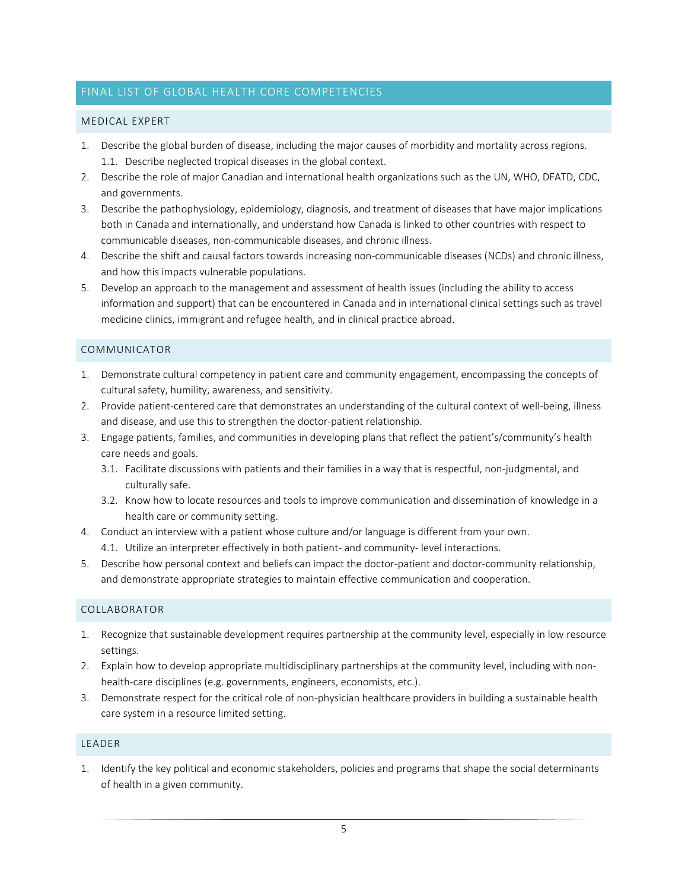# FINAL LIST OF GLOBAL HEALTH CORE COMPETENCIES

#### MEDICAL EXPERT

- 1. Describe the global burden of disease, including the major causes of morbidity and mortality across regions. 1.1. Describe neglected tropical diseases in the global context.
- 2. Describe the role of major Canadian and international health organizations such as the UN, WHO, DFATD, CDC, and governments.
- 3. Describe the pathophysiology, epidemiology, diagnosis, and treatment of diseases that have major implications both in Canada and internationally, and understand how Canada is linked to other countries with respect to communicable diseases, non‐communicable diseases, and chronic illness.
- 4. Describe the shift and causal factors towards increasing non-communicable diseases (NCDs) and chronic illness, and how this impacts vulnerable populations.
- 5. Develop an approach to the management and assessment of health issues (including the ability to access information and support) that can be encountered in Canada and in international clinical settings such as travel medicine clinics, immigrant and refugee health, and in clinical practice abroad.

#### COMMUNICATOR

- 1. Demonstrate cultural competency in patient care and community engagement, encompassing the concepts of cultural safety, humility, awareness, and sensitivity.
- 2. Provide patient‐centered care that demonstrates an understanding of the cultural context of well‐being, illness and disease, and use this to strengthen the doctor‐patient relationship.
- 3. Engage patients, families, and communities in developing plans that reflect the patient's/community's health care needs and goals.
	- 3.1. Facilitate discussions with patients and their families in a way that is respectful, non‐judgmental, and culturally safe.
	- 3.2. Know how to locate resources and tools to improve communication and dissemination of knowledge in a health care or community setting.
- 4. Conduct an interview with a patient whose culture and/or language is different from your own.
	- 4.1. Utilize an interpreter effectively in both patient- and community- level interactions.
- 5. Describe how personal context and beliefs can impact the doctor-patient and doctor-community relationship, and demonstrate appropriate strategies to maintain effective communication and cooperation.

#### COLLABORATOR

- 1. Recognize that sustainable development requires partnership at the community level, especially in low resource settings.
- 2. Explain how to develop appropriate multidisciplinary partnerships at the community level, including with non‐ health-care disciplines (e.g. governments, engineers, economists, etc.).
- 3. Demonstrate respect for the critical role of non‐physician healthcare providers in building a sustainable health care system in a resource limited setting.

#### LEADER

1. Identify the key political and economic stakeholders, policies and programs that shape the social determinants of health in a given community.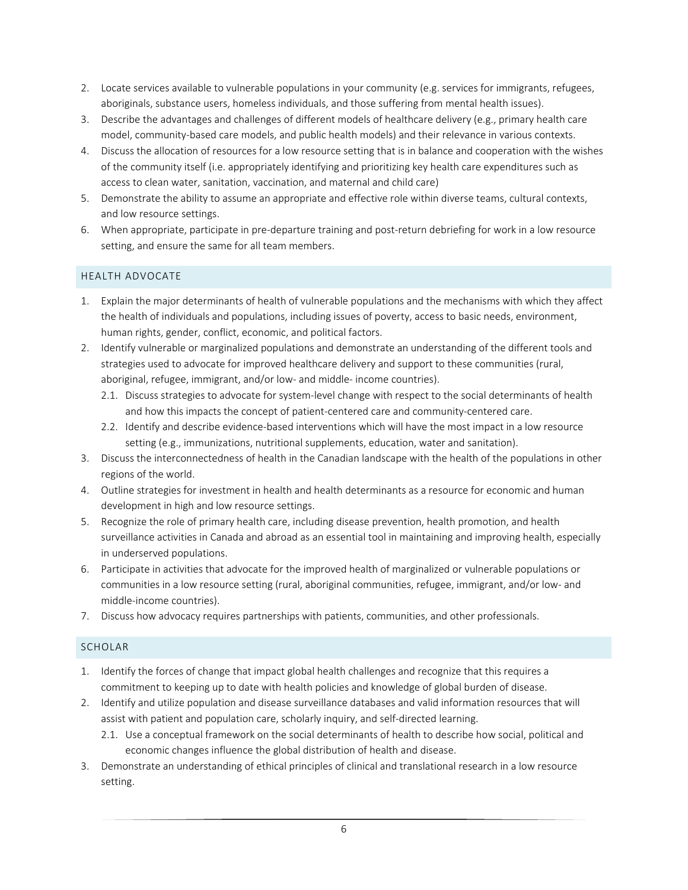- 2. Locate services available to vulnerable populations in your community (e.g. services for immigrants, refugees, aboriginals, substance users, homeless individuals, and those suffering from mental health issues).
- 3. Describe the advantages and challenges of different models of healthcare delivery (e.g., primary health care model, community‐based care models, and public health models) and their relevance in various contexts.
- 4. Discuss the allocation of resources for a low resource setting that is in balance and cooperation with the wishes of the community itself (i.e. appropriately identifying and prioritizing key health care expenditures such as access to clean water, sanitation, vaccination, and maternal and child care)
- 5. Demonstrate the ability to assume an appropriate and effective role within diverse teams, cultural contexts, and low resource settings.
- 6. When appropriate, participate in pre-departure training and post-return debriefing for work in a low resource setting, and ensure the same for all team members.

# HEALTH ADVOCATE

- 1. Explain the major determinants of health of vulnerable populations and the mechanisms with which they affect the health of individuals and populations, including issues of poverty, access to basic needs, environment, human rights, gender, conflict, economic, and political factors.
- 2. Identify vulnerable or marginalized populations and demonstrate an understanding of the different tools and strategies used to advocate for improved healthcare delivery and support to these communities (rural, aboriginal, refugee, immigrant, and/or low‐ and middle‐ income countries).
	- 2.1. Discuss strategies to advocate for system‐level change with respect to the social determinants of health and how this impacts the concept of patient-centered care and community-centered care.
	- 2.2. Identify and describe evidence-based interventions which will have the most impact in a low resource setting (e.g., immunizations, nutritional supplements, education, water and sanitation).
- 3. Discuss the interconnectedness of health in the Canadian landscape with the health of the populations in other regions of the world.
- 4. Outline strategies for investment in health and health determinants as a resource for economic and human development in high and low resource settings.
- 5. Recognize the role of primary health care, including disease prevention, health promotion, and health surveillance activities in Canada and abroad as an essential tool in maintaining and improving health, especially in underserved populations.
- 6. Participate in activities that advocate for the improved health of marginalized or vulnerable populations or communities in a low resource setting (rural, aboriginal communities, refugee, immigrant, and/or low‐ and middle‐income countries).
- 7. Discuss how advocacy requires partnerships with patients, communities, and other professionals.

# SCHOLAR

- 1. Identify the forces of change that impact global health challenges and recognize that this requires a commitment to keeping up to date with health policies and knowledge of global burden of disease.
- 2. Identify and utilize population and disease surveillance databases and valid information resources that will assist with patient and population care, scholarly inquiry, and self-directed learning.
	- 2.1. Use a conceptual framework on the social determinants of health to describe how social, political and economic changes influence the global distribution of health and disease.
- 3. Demonstrate an understanding of ethical principles of clinical and translational research in a low resource setting.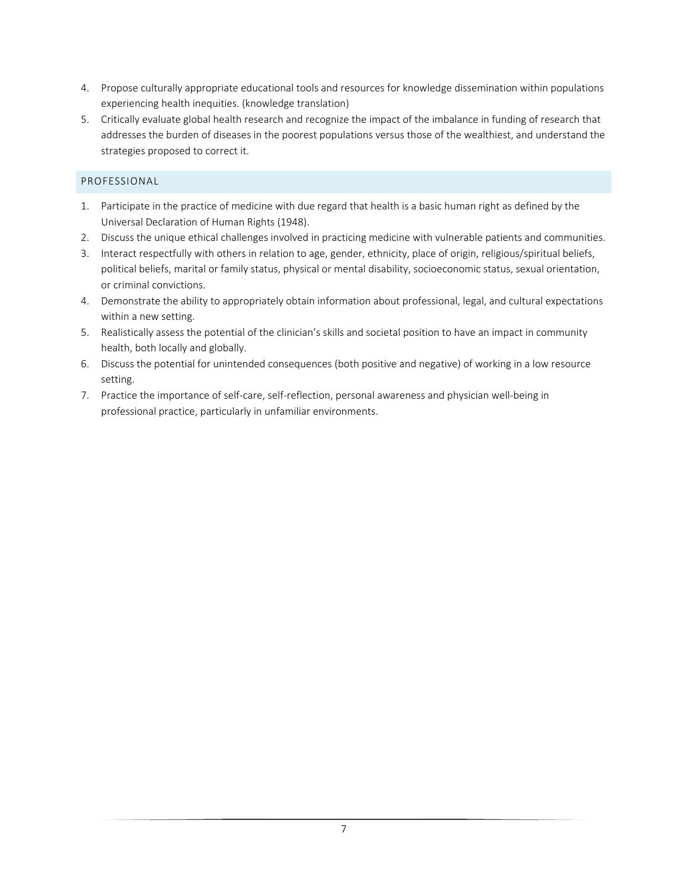- 4. Propose culturally appropriate educational tools and resources for knowledge dissemination within populations experiencing health inequities. (knowledge translation)
- 5. Critically evaluate global health research and recognize the impact of the imbalance in funding of research that addresses the burden of diseases in the poorest populations versus those of the wealthiest, and understand the strategies proposed to correct it.

# PROFESSIONAL

- 1. Participate in the practice of medicine with due regard that health is a basic human right as defined by the Universal Declaration of Human Rights (1948).
- 2. Discuss the unique ethical challenges involved in practicing medicine with vulnerable patients and communities.
- 3. Interact respectfully with others in relation to age, gender, ethnicity, place of origin, religious/spiritual beliefs, political beliefs, marital or family status, physical or mental disability, socioeconomic status, sexual orientation, or criminal convictions.
- 4. Demonstrate the ability to appropriately obtain information about professional, legal, and cultural expectations within a new setting.
- 5. Realistically assess the potential of the clinician's skills and societal position to have an impact in community health, both locally and globally.
- 6. Discuss the potential for unintended consequences (both positive and negative) of working in a low resource setting.
- 7. Practice the importance of self-care, self-reflection, personal awareness and physician well-being in professional practice, particularly in unfamiliar environments.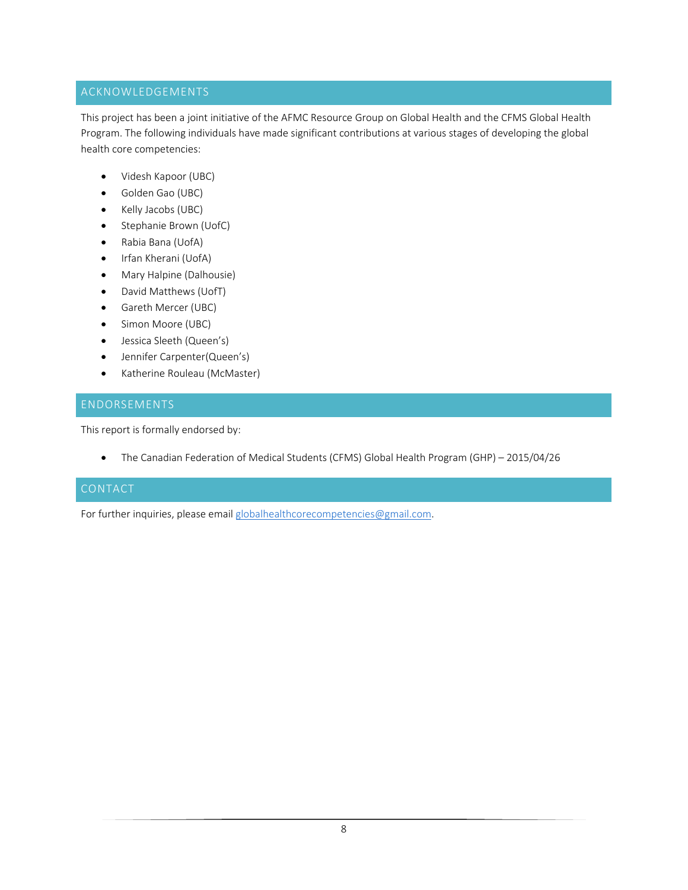# ACKNOWLEDGEMENTS

This project has been a joint initiative of the AFMC Resource Group on Global Health and the CFMS Global Health Program. The following individuals have made significant contributions at various stages of developing the global health core competencies:

- Videsh Kapoor (UBC)
- Golden Gao (UBC)
- Kelly Jacobs (UBC)
- Stephanie Brown (UofC)
- Rabia Bana (UofA)
- Irfan Kherani (UofA)
- Mary Halpine (Dalhousie)
- David Matthews (UofT)
- Gareth Mercer (UBC)
- Simon Moore (UBC)
- Jessica Sleeth (Queen's)
- Jennifer Carpenter(Queen's)
- Katherine Rouleau (McMaster)

# ENDORSEMENTS

This report is formally endorsed by:

The Canadian Federation of Medical Students (CFMS) Global Health Program (GHP) – 2015/04/26

# CONTACT

For further inquiries, please email globalhealthcorecompetencies@gmail.com.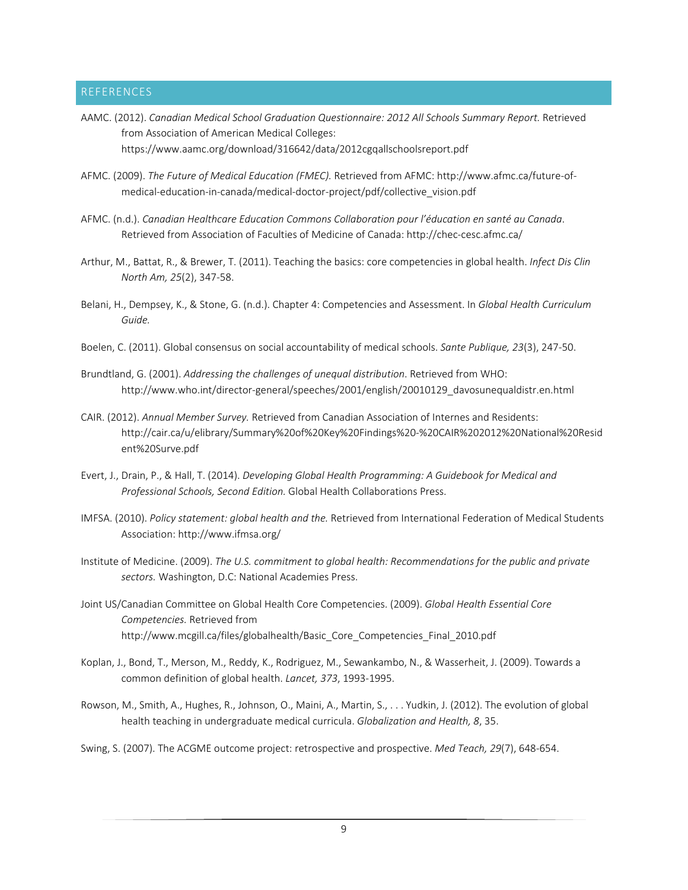# REFERENCES

- AAMC. (2012). *Canadian Medical School Graduation Questionnaire: 2012 All Schools Summary Report.* Retrieved from Association of American Medical Colleges: https://www.aamc.org/download/316642/data/2012cgqallschoolsreport.pdf
- AFMC. (2009). *The Future of Medical Education (FMEC).* Retrieved from AFMC: http://www.afmc.ca/future‐of‐ medical‐education‐in‐canada/medical‐doctor‐project/pdf/collective\_vision.pdf
- AFMC. (n.d.). *Canadian Healthcare Education Commons Collaboration pour l'éducation en santé au Canada*. Retrieved from Association of Faculties of Medicine of Canada: http://chec-cesc.afmc.ca/
- Arthur, M., Battat, R., & Brewer, T. (2011). Teaching the basics: core competencies in global health. *Infect Dis Clin North Am, 25*(2), 347‐58.
- Belani, H., Dempsey, K., & Stone, G. (n.d.). Chapter 4: Competencies and Assessment. In *Global Health Curriculum Guide.*
- Boelen, C. (2011). Global consensus on social accountability of medical schools. *Sante Publique, 23*(3), 247‐50.
- Brundtland, G. (2001). *Addressing the challenges of unequal distribution*. Retrieved from WHO: http://www.who.int/director‐general/speeches/2001/english/20010129\_davosunequaldistr.en.html
- CAIR. (2012). *Annual Member Survey.* Retrieved from Canadian Association of Internes and Residents: http://cair.ca/u/elibrary/Summary%20of%20Key%20Findings%20‐%20CAIR%202012%20National%20Resid ent%20Surve.pdf
- Evert, J., Drain, P., & Hall, T. (2014). *Developing Global Health Programming: A Guidebook for Medical and Professional Schools, Second Edition.* Global Health Collaborations Press.
- IMFSA. (2010). *Policy statement: global health and the.* Retrieved from International Federation of Medical Students Association: http://www.ifmsa.org/
- Institute of Medicine. (2009). *The U.S. commitment to global health: Recommendations for the public and private sectors.* Washington, D.C: National Academies Press.
- Joint US/Canadian Committee on Global Health Core Competencies. (2009). *Global Health Essential Core Competencies.* Retrieved from http://www.mcgill.ca/files/globalhealth/Basic\_Core\_Competencies\_Final\_2010.pdf
- Koplan, J., Bond, T., Merson, M., Reddy, K., Rodriguez, M., Sewankambo, N., & Wasserheit, J. (2009). Towards a common definition of global health. *Lancet, 373*, 1993‐1995.
- Rowson, M., Smith, A., Hughes, R., Johnson, O., Maini, A., Martin, S., . . . Yudkin, J. (2012). The evolution of global health teaching in undergraduate medical curricula. *Globalization and Health, 8*, 35.

Swing, S. (2007). The ACGME outcome project: retrospective and prospective. *Med Teach, 29*(7), 648‐654.